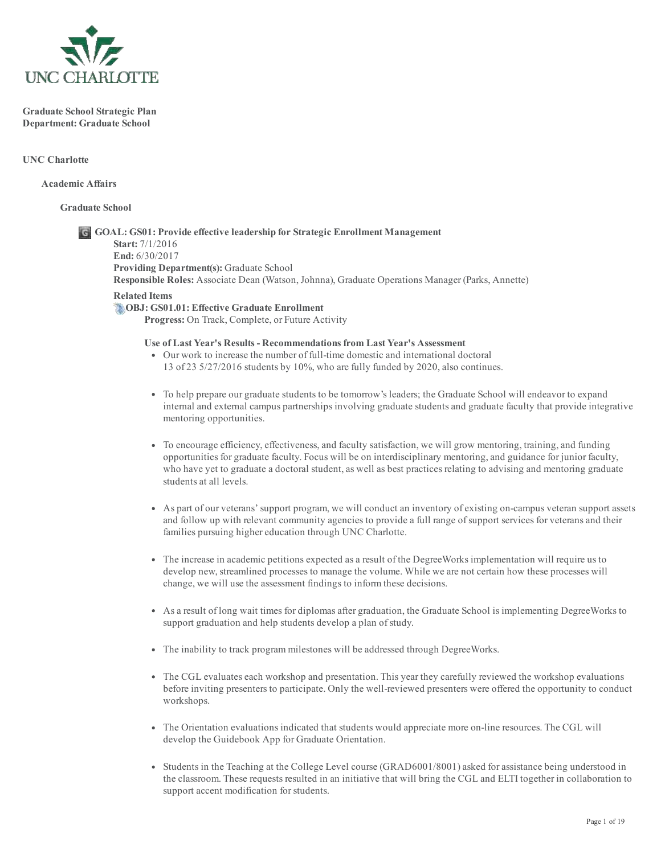

Graduate School Strategic Plan Department: Graduate School

UNC Charlotte

Academic Affairs

Graduate School

# GOAL: GS01: Provide effective leadership for Strategic Enrollment Management Start: 7/1/2016 End: 6/30/2017 Providing Department(s): Graduate School Responsible Roles: Associate Dean (Watson, Johnna), Graduate Operations Manager (Parks, Annette) Related Items

OBJ: GS01.01: Effective Graduate Enrollment Progress: On Track, Complete, or Future Activity

# Use of Last Year's Results Recommendations from Last Year's Assessment

- Our work to increase the number of full-time domestic and international doctoral 13 of 23 5/27/2016 students by 10%, who are fully funded by 2020, also continues.
- To help prepare our graduate students to be tomorrow's leaders; the Graduate School will endeavor to expand internal and external campus partnerships involving graduate students and graduate faculty that provide integrative mentoring opportunities.
- To encourage efficiency, effectiveness, and faculty satisfaction, we will grow mentoring, training, and funding opportunities for graduate faculty. Focus will be on interdisciplinary mentoring, and guidance for junior faculty, who have yet to graduate a doctoral student, as well as best practices relating to advising and mentoring graduate students at all levels.
- As part of our veterans'support program, we will conduct an inventory of existing oncampus veteran support assets and follow up with relevant community agencies to provide a full range ofsupport services for veterans and their families pursuing higher education through UNC Charlotte.
- The increase in academic petitions expected as a result of the DegreeWorks implementation will require us to develop new, streamlined processes to manage the volume. While we are not certain how these processes will change, we will use the assessment findings to inform these decisions.
- As a result of long wait times for diplomas after graduation, the Graduate School is implementing DegreeWorks to support graduation and help students develop a plan of study.
- The inability to track program milestones will be addressed through DegreeWorks.
- The CGL evaluates each workshop and presentation. This year they carefully reviewed the workshop evaluations before inviting presenters to participate. Only the well-reviewed presenters were offered the opportunity to conduct workshops.
- The Orientation evaluations indicated that students would appreciate more on-line resources. The CGL will develop the Guidebook App for Graduate Orientation.
- Students in the Teaching at the College Level course (GRAD6001/8001) asked for assistance being understood in the classroom. These requests resulted in an initiative that will bring the CGL and ELTI together in collaboration to support accent modification for students.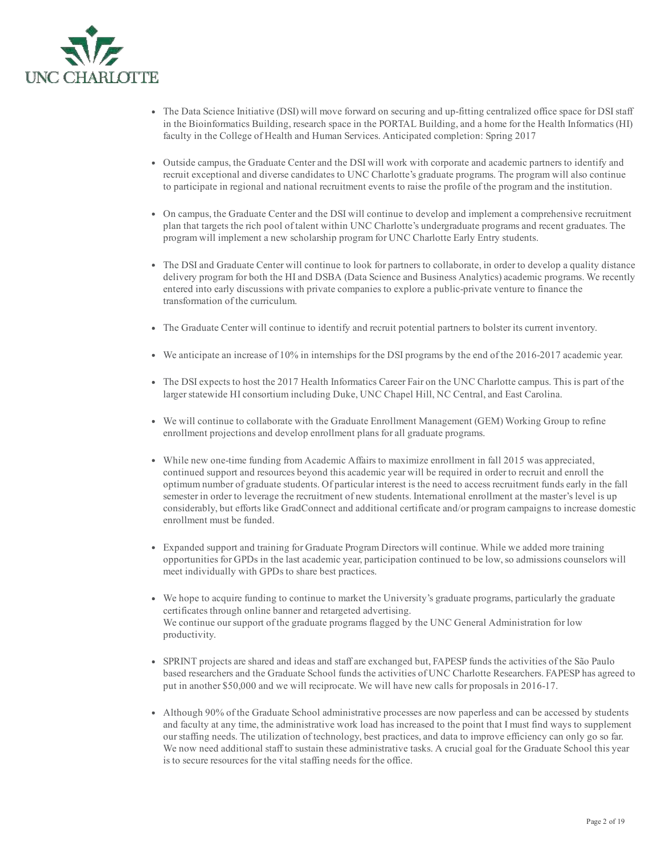

- The Data Science Initiative (DSI) will move forward on securing and up-fitting centralized office space for DSI staff in the Bioinformatics Building, research space in the PORTAL Building, and a home for the Health Informatics (HI) faculty in the College of Health and Human Services. Anticipated completion: Spring 2017
- Outside campus, the Graduate Center and the DSI will work with corporate and academic partners to identify and recruit exceptional and diverse candidates to UNC Charlotte's graduate programs. The program will also continue to participate in regional and national recruitment events to raise the profile of the program and the institution.
- On campus, the Graduate Center and the DSI will continue to develop and implement a comprehensive recruitment plan that targets the rich pool of talent within UNC Charlotte's undergraduate programs and recent graduates. The program will implement a new scholarship program for UNC Charlotte Early Entry students.
- The DSI and Graduate Center will continue to look for partners to collaborate, in order to develop a quality distance delivery program for both the HI and DSBA (Data Science and Business Analytics) academic programs. We recently entered into early discussions with private companies to explore a public-private venture to finance the transformation of the curriculum.
- The Graduate Center will continue to identify and recruit potential partners to bolster its current inventory.
- We anticipate an increase of 10% in internships for the DSI programs by the end of the 20162017 academic year.
- The DSI expects to host the 2017 Health Informatics Career Fair on the UNC Charlotte campus. This is part of the larger statewide HI consortium including Duke, UNC Chapel Hill, NC Central, and East Carolina.
- We will continue to collaborate with the Graduate Enrollment Management (GEM) Working Group to refine enrollment projections and develop enrollment plans for all graduate programs.
- While new onetime funding from Academic Affairs to maximize enrollment in fall 2015 was appreciated, continued support and resources beyond this academic year will be required in order to recruit and enroll the optimum number of graduate students. Of particular interest is the need to access recruitment funds early in the fall semester in order to leverage the recruitment of new students. International enrollment at the master's level is up considerably, but efforts like GradConnect and additional certificate and/or program campaigns to increase domestic enrollment must be funded.
- Expanded support and training for Graduate Program Directors will continue. While we added more training opportunities for GPDs in the last academic year, participation continued to be low, so admissions counselors will meet individually with GPDs to share best practices.
- We hope to acquire funding to continue to market the University's graduate programs, particularly the graduate certificates through online banner and retargeted advertising. We continue our support of the graduate programs flagged by the UNC General Administration for low productivity.
- SPRINT projects are shared and ideas and staff are exchanged but, FAPESP funds the activities of the São Paulo based researchers and the Graduate School funds the activities of UNC Charlotte Researchers. FAPESP has agreed to put in another \$50,000 and we will reciprocate. We will have new calls for proposals in 2016-17.
- Although 90% of the Graduate School administrative processes are now paperless and can be accessed by students and faculty at any time, the administrative work load has increased to the point that I must find ways to supplement ourstaffing needs. The utilization of technology, best practices, and data to improve efficiency can only go so far. We now need additional staff to sustain these administrative tasks. A crucial goal for the Graduate School this year is to secure resources for the vital staffing needs for the office.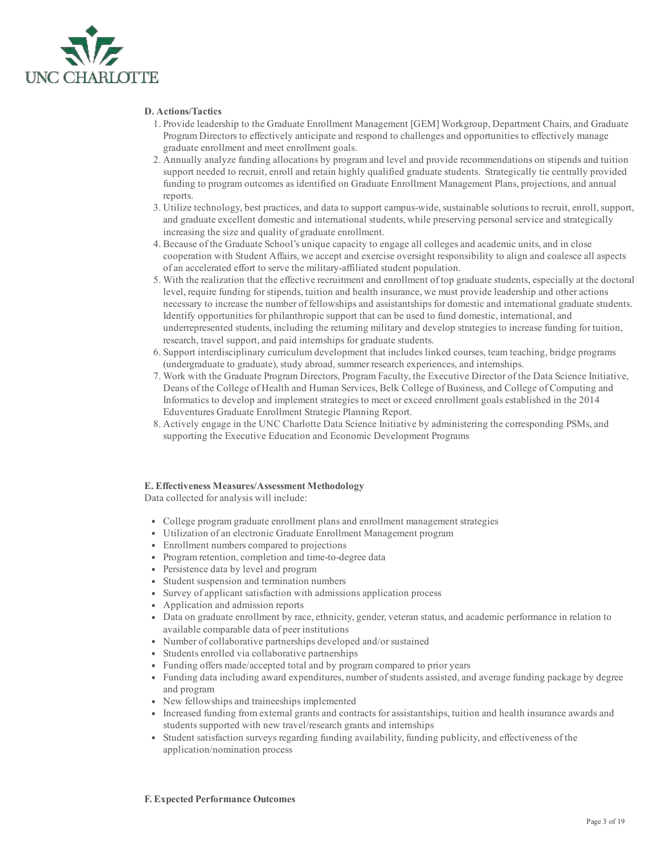

#### D. Actions/Tactics

- 1. Provide leadership to the Graduate Enrollment Management [GEM] Workgroup, Department Chairs, and Graduate Program Directors to effectively anticipate and respond to challenges and opportunities to effectively manage graduate enrollment and meet enrollment goals.
- 2. Annually analyze funding allocations by program and level and provide recommendations on stipends and tuition support needed to recruit, enroll and retain highly qualified graduate students. Strategically tie centrally provided funding to program outcomes as identified on Graduate Enrollment Management Plans, projections, and annual reports.
- 3. Utilize technology, best practices, and data to support campuswide, sustainable solutions to recruit, enroll, support, and graduate excellent domestic and international students, while preserving personal service and strategically increasing the size and quality of graduate enrollment.
- 4. Because of the Graduate School's unique capacity to engage all colleges and academic units, and in close cooperation with Student Affairs, we accept and exercise oversight responsibility to align and coalesce all aspects of an accelerated effort to serve the military-affiliated student population.
- 5. With the realization that the effective recruitment and enrollment of top graduate students, especially at the doctoral level, require funding forstipends, tuition and health insurance, we must provide leadership and other actions necessary to increase the number of fellowships and assistantships for domestic and international graduate students. Identify opportunities for philanthropic support that can be used to fund domestic, international, and underrepresented students, including the returning military and develop strategies to increase funding for tuition, research, travel support, and paid internships for graduate students.
- 6. Support interdisciplinary curriculum development that includes linked courses, team teaching, bridge programs (undergraduate to graduate), study abroad, summer research experiences, and internships.
- 7. Work with the Graduate Program Directors, Program Faculty, the Executive Director of the Data Science Initiative, Deans of the College of Health and Human Services, Belk College of Business, and College of Computing and Informatics to develop and implement strategies to meet or exceed enrollment goals established in the 2014 Eduventures Graduate Enrollment Strategic Planning Report.
- 8. Actively engage in the UNC Charlotte Data Science Initiative by administering the corresponding PSMs, and supporting the Executive Education and Economic Development Programs

## E. Effectiveness Measures/Assessment Methodology

Data collected for analysis will include:

- College program graduate enrollment plans and enrollment management strategies
- Utilization of an electronic Graduate Enrollment Management program
- Enrollment numbers compared to projections
- Program retention, completion and time-to-degree data
- Persistence data by level and program
- Student suspension and termination numbers
- Survey of applicant satisfaction with admissions application process
- Application and admission reports
- Data on graduate enrollment by race, ethnicity, gender, veteran status, and academic performance in relation to available comparable data of peer institutions
- Number of collaborative partnerships developed and/or sustained
- Students enrolled via collaborative partnerships
- Funding offers made/accepted total and by program compared to prior years
- Funding data including award expenditures, number ofstudents assisted, and average funding package by degree and program
- New fellowships and traineeships implemented
- Increased funding from external grants and contracts for assistantships, tuition and health insurance awards and students supported with new travel/research grants and internships
- Student satisfaction surveys regarding funding availability, funding publicity, and effectiveness of the application/nomination process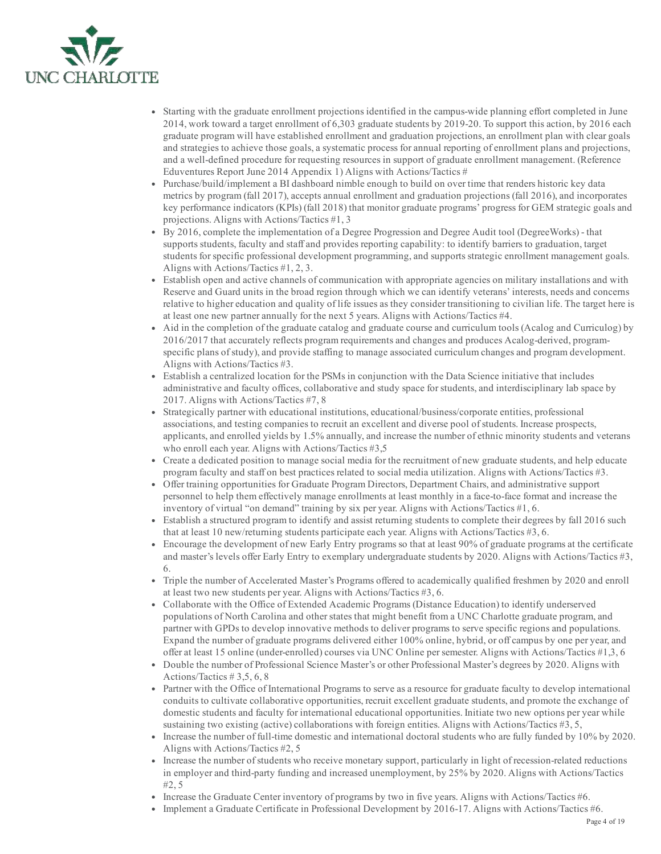

- Starting with the graduate enrollment projections identified in the campuswide planning effort completed in June 2014, work toward a target enrollment of 6,303 graduate students by 201920. To support this action, by 2016 each graduate program will have established enrollment and graduation projections, an enrollment plan with clear goals and strategies to achieve those goals, a systematic process for annual reporting of enrollment plans and projections, and a well-defined procedure for requesting resources in support of graduate enrollment management. (Reference Eduventures Report June 2014 Appendix 1) Aligns with Actions/Tactics #
- Purchase/build/implement a BI dashboard nimble enough to build on over time that renders historic key data metrics by program (fall 2017), accepts annual enrollment and graduation projections (fall 2016), and incorporates key performance indicators (KPIs) (fall 2018) that monitor graduate programs' progress for GEM strategic goals and projections. Aligns with Actions/Tactics #1, 3
- By 2016, complete the implementation of a Degree Progression and Degree Audit tool (DegreeWorks) that supports students, faculty and staff and provides reporting capability: to identify barriers to graduation, target students forspecific professional development programming, and supports strategic enrollment management goals. Aligns with Actions/Tactics #1, 2, 3.
- Establish open and active channels of communication with appropriate agencies on military installations and with Reserve and Guard units in the broad region through which we can identify veterans' interests, needs and concerns relative to higher education and quality of life issues as they consider transitioning to civilian life. The target here is at least one new partner annually for the next 5 years. Aligns with Actions/Tactics #4.
- Aid in the completion of the graduate catalog and graduate course and curriculum tools (Acalog and Curriculog) by 2016/2017 that accurately reflects program requirements and changes and produces Acalog-derived, programspecific plans of study), and provide staffing to manage associated curriculum changes and program development. Aligns with Actions/Tactics #3.
- Establish a centralized location for the PSMs in conjunction with the Data Science initiative that includes administrative and faculty offices, collaborative and study space forstudents, and interdisciplinary lab space by 2017. Aligns with Actions/Tactics #7, 8
- Strategically partner with educational institutions, educational/business/corporate entities, professional associations, and testing companies to recruit an excellent and diverse pool of students. Increase prospects, applicants, and enrolled yields by 1.5% annually, and increase the number of ethnic minority students and veterans who enroll each year. Aligns with Actions/Tactics #3,5
- Create a dedicated position to manage social media for the recruitment of new graduate students, and help educate program faculty and staff on best practices related to social media utilization. Aligns with Actions/Tactics #3.
- Offer training opportunities for Graduate Program Directors, Department Chairs, and administrative support personnel to help them effectively manage enrollments at least monthly in a face-to-face format and increase the inventory of virtual "on demand" training by six per year. Aligns with Actions/Tactics  $\#1, 6$ .
- Establish a structured program to identify and assist returning students to complete their degrees by fall 2016 such that at least 10 new/returning students participate each year. Aligns with Actions/Tactics #3, 6.
- Encourage the development of new Early Entry programs so that at least 90% of graduate programs at the certificate and master's levels offer Early Entry to exemplary undergraduate students by 2020. Aligns with Actions/Tactics #3, 6.
- Triple the number of Accelerated Master's Programs offered to academically qualified freshmen by 2020 and enroll at least two new students per year. Aligns with Actions/Tactics #3, 6.
- Collaborate with the Office of Extended Academic Programs (Distance Education) to identify underserved populations of North Carolina and otherstates that might benefit from a UNC Charlotte graduate program, and partner with GPDs to develop innovative methods to deliver programs to serve specific regions and populations. Expand the number of graduate programs delivered either 100% online, hybrid, or off campus by one per year, and offer at least 15 online (underenrolled) courses via UNC Online persemester. Aligns with Actions/Tactics #1,3, 6
- Double the number of Professional Science Master's or other Professional Master's degrees by 2020. Aligns with Actions/Tactics # 3,5, 6, 8
- Partner with the Office of International Programs to serve as a resource for graduate faculty to develop international conduits to cultivate collaborative opportunities, recruit excellent graduate students, and promote the exchange of domestic students and faculty for international educational opportunities. Initiate two new options per year while sustaining two existing (active) collaborations with foreign entities. Aligns with Actions/Tactics #3, 5,
- Increase the number of full-time domestic and international doctoral students who are fully funded by 10% by 2020. Aligns with Actions/Tactics #2, 5
- Increase the number of students who receive monetary support, particularly in light of recession-related reductions in employer and third-party funding and increased unemployment, by 25% by 2020. Aligns with Actions/Tactics #2, 5
- Increase the Graduate Center inventory of programs by two in five years. Aligns with Actions/Tactics #6.
- Implement a Graduate Certificate in Professional Development by 2016-17. Aligns with Actions/Tactics #6.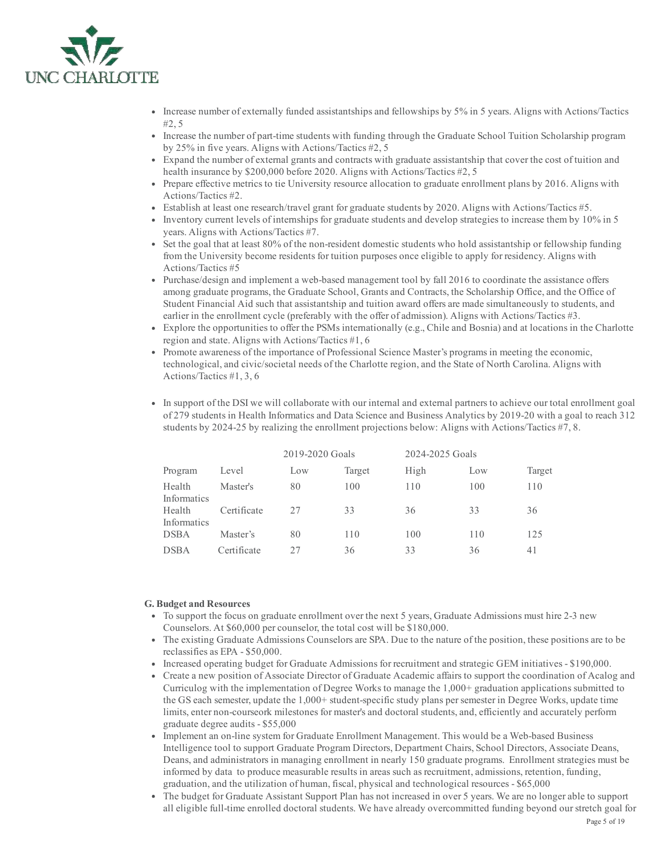

- Increase number of externally funded assistantships and fellowships by 5% in 5 years. Aligns with Actions/Tactics #2, 5
- Increase the number of part-time students with funding through the Graduate School Tuition Scholarship program by 25% in five years. Aligns with Actions/Tactics #2, 5
- Expand the number of external grants and contracts with graduate assistantship that cover the cost of tuition and health insurance by \$200,000 before 2020. Aligns with Actions/Tactics #2, 5
- Prepare effective metrics to tie University resource allocation to graduate enrollment plans by 2016. Aligns with Actions/Tactics #2.
- Establish at least one research/travel grant for graduate students by 2020. Aligns with Actions/Tactics #5.
- Inventory current levels of internships for graduate students and develop strategies to increase them by 10% in 5 years. Aligns with Actions/Tactics #7.
- Set the goal that at least 80% of the non-resident domestic students who hold assistantship or fellowship funding from the University become residents for tuition purposes once eligible to apply for residency. Aligns with Actions/Tactics #5
- Purchase/design and implement a web-based management tool by fall 2016 to coordinate the assistance offers among graduate programs, the Graduate School, Grants and Contracts, the Scholarship Office, and the Office of Student Financial Aid such that assistantship and tuition award offers are made simultaneously to students, and earlier in the enrollment cycle (preferably with the offer of admission). Aligns with Actions/Tactics #3.
- Explore the opportunities to offer the PSMs internationally (e.g., Chile and Bosnia) and at locations in the Charlotte region and state. Aligns with Actions/Tactics #1, 6
- Promote awareness of the importance of Professional Science Master's programs in meeting the economic, technological, and civic/societal needs of the Charlotte region, and the State of North Carolina. Aligns with Actions/Tactics #1, 3, 6
- In support of the DSI we will collaborate with our internal and external partners to achieve our total enrollment goal of 279 students in Health Informatics and Data Science and Business Analytics by 201920 with a goal to reach 312 students by 2024-25 by realizing the enrollment projections below: Aligns with Actions/Tactics #7, 8.

|                       |             | 2019-2020 Goals |        | 2024-2025 Goals |     |        |
|-----------------------|-------------|-----------------|--------|-----------------|-----|--------|
| Program               | Level       | Low             | Target | High            | Low | Target |
| Health<br>Informatics | Master's    | 80              | 100    | 110             | 100 | 110    |
| Health<br>Informatics | Certificate | 27              | 33     | 36              | 33  | 36     |
| <b>DSBA</b>           | Master's    | 80              | 110    | 100             | 110 | 125    |
| <b>DSBA</b>           | Certificate | フフ              | 36     | 33              | 36  | 41     |

#### G. Budget and Resources

- To support the focus on graduate enrollment over the next 5 years, Graduate Admissions must hire 2-3 new Counselors. At \$60,000 per counselor, the total cost will be \$180,000.
- The existing Graduate Admissions Counselors are SPA. Due to the nature of the position, these positions are to be reclassifies as  $EPA - $50,000$ .
- Increased operating budget for Graduate Admissions for recruitment and strategic GEM initiatives \$190,000.
- Create a new position of Associate Director of Graduate Academic affairs to support the coordination of Acalog and Curriculog with the implementation of Degree Works to manage the 1,000+ graduation applications submitted to the GS each semester, update the 1,000+ student-specific study plans per semester in Degree Works, update time limits, enter non-courseork milestones for master's and doctoral students, and, efficiently and accurately perform graduate degree audits - \$55,000
- Implement an on-line system for Graduate Enrollment Management. This would be a Web-based Business Intelligence tool to support Graduate Program Directors, Department Chairs, School Directors, Associate Deans, Deans, and administrators in managing enrollment in nearly 150 graduate programs. Enrollment strategies must be informed by data to produce measurable results in areas such as recruitment, admissions, retention, funding, graduation, and the utilization of human, fiscal, physical and technological resources - \$65,000
- The budget for Graduate Assistant Support Plan has not increased in over 5 years. We are no longer able to support all eligible full-time enrolled doctoral students. We have already overcommitted funding beyond our stretch goal for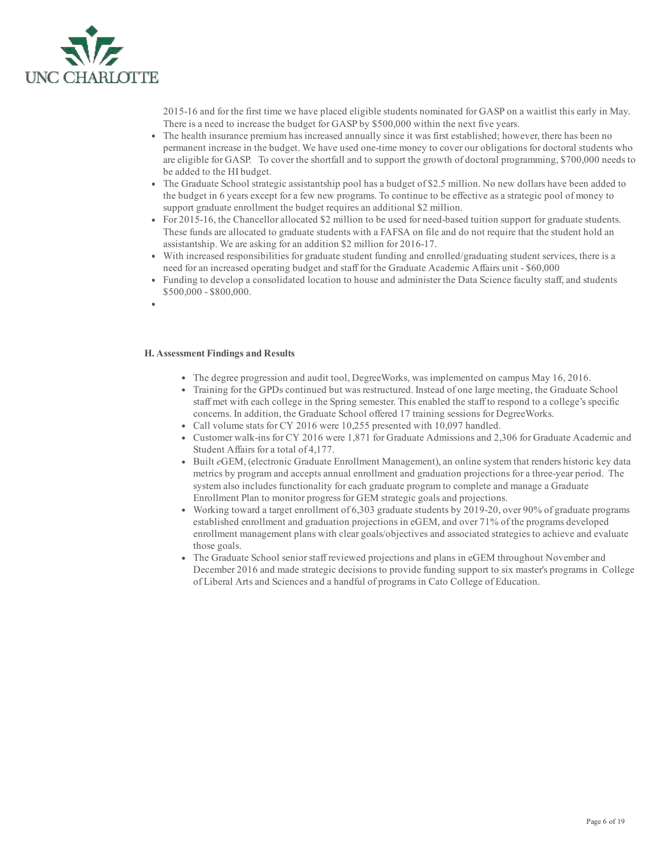

201516 and for the first time we have placed eligible students nominated for GASP on a waitlist this early in May. There is a need to increase the budget for GASP by \$500,000 within the next five years.

- The health insurance premium has increased annually since it was first established; however, there has been no permanent increase in the budget. We have used one-time money to cover our obligations for doctoral students who are eligible for GASP. To cover the shortfall and to support the growth of doctoral programming, \$700,000 needs to be added to the HI budget.
- The Graduate School strategic assistantship pool has a budget of \$2.5 million. No new dollars have been added to the budget in 6 years except for a few new programs. To continue to be effective as a strategic pool of money to support graduate enrollment the budget requires an additional \$2 million.
- For 2015-16, the Chancellor allocated \$2 million to be used for need-based tuition support for graduate students. These funds are allocated to graduate students with a FAFSA on file and do not require that the student hold an assistantship. We are asking for an addition \$2 million for 2016-17.
- With increased responsibilities for graduate student funding and enrolled/graduating student services, there is a need for an increased operating budget and staff for the Graduate Academic Affairs unit - \$60,000
- Funding to develop a consolidated location to house and administer the Data Science faculty staff, and students \$500,000 - \$800,000.
- H. Assessment Findings and Results
	- The degree progression and audit tool, DegreeWorks, was implemented on campus May 16, 2016.
	- Training for the GPDs continued but was restructured. Instead of one large meeting, the Graduate School staff met with each college in the Spring semester. This enabled the staff to respond to a college's specific concerns. In addition, the Graduate School offered 17 training sessions for DegreeWorks.
	- Call volume stats for CY 2016 were 10,255 presented with 10,097 handled.
	- Customer walk-ins for CY 2016 were 1,871 for Graduate Admissions and 2,306 for Graduate Academic and Student Affairs for a total of 4,177.
	- Built eGEM, (electronic Graduate Enrollment Management), an online system that renders historic key data metrics by program and accepts annual enrollment and graduation projections for a threeyear period. The system also includes functionality for each graduate program to complete and manage a Graduate Enrollment Plan to monitor progress for GEM strategic goals and projections.
	- Working toward a target enrollment of 6,303 graduate students by 2019-20, over 90% of graduate programs established enrollment and graduation projections in eGEM, and over 71% of the programs developed enrollment management plans with clear goals/objectives and associated strategies to achieve and evaluate those goals.
	- The Graduate School senior staff reviewed projections and plans in eGEM throughout November and December 2016 and made strategic decisions to provide funding support to six master's programs in College of Liberal Arts and Sciences and a handful of programs in Cato College of Education.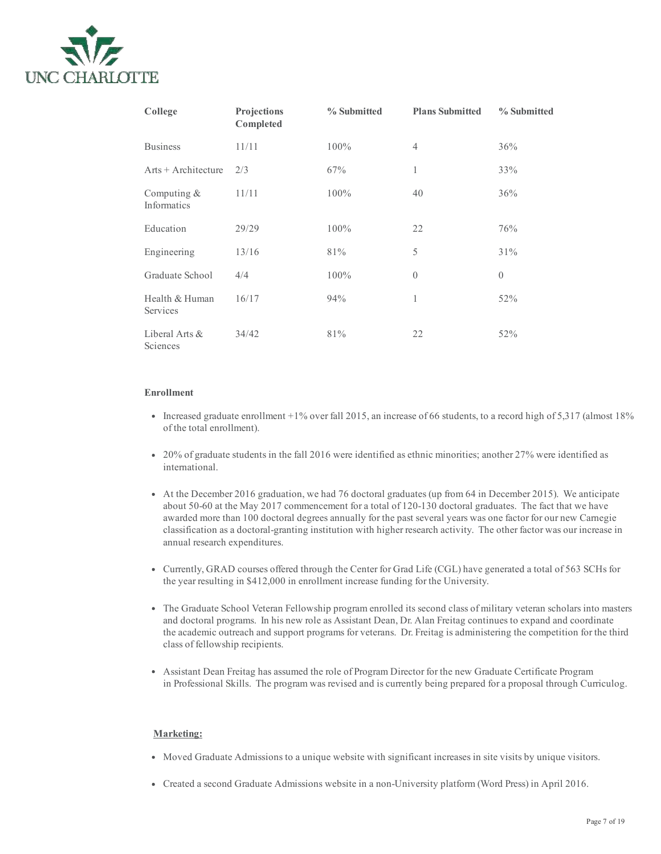

| College                      | Projections<br>Completed | % Submitted | <b>Plans Submitted</b> | % Submitted |
|------------------------------|--------------------------|-------------|------------------------|-------------|
| <b>Business</b>              | 11/11                    | 100%        | $\overline{4}$         | 36%         |
| $Arts + Architecture$        | 2/3                      | 67%         | 1                      | 33%         |
| Computing $&$<br>Informatics | 11/11                    | 100%        | 40                     | 36%         |
| Education                    | 29/29                    | $100\%$     | 22                     | 76%         |
| Engineering                  | 13/16                    | 81%         | 5                      | 31%         |
| Graduate School              | 4/4                      | 100%        | $\overline{0}$         | $\Omega$    |
| Health & Human<br>Services   | 16/17                    | 94%         | $\mathbf{1}$           | 52%         |
| Liberal Arts &<br>Sciences   | 34/42                    | 81%         | 22                     | 52%         |

## Enrollment

- Increased graduate enrollment  $+1\%$  over fall 2015, an increase of 66 students, to a record high of 5,317 (almost 18%) of the total enrollment).
- 20% of graduate students in the fall 2016 were identified as ethnic minorities; another 27% were identified as international.
- At the December 2016 graduation, we had 76 doctoral graduates (up from 64 in December 2015). We anticipate about 5060 at the May 2017 commencement for a total of 120130 doctoral graduates. The fact that we have awarded more than 100 doctoral degrees annually for the past several years was one factor for our new Carnegie classification as a doctoral-granting institution with higher research activity. The other factor was our increase in annual research expenditures.
- Currently, GRAD courses offered through the Center for Grad Life (CGL) have generated a total of 563 SCHs for the year resulting in \$412,000 in enrollment increase funding for the University.
- The Graduate School Veteran Fellowship program enrolled its second class of military veteran scholars into masters and doctoral programs. In his new role as Assistant Dean, Dr. Alan Freitag continues to expand and coordinate the academic outreach and support programs for veterans. Dr. Freitag is administering the competition for the third class of fellowship recipients.
- Assistant Dean Freitag has assumed the role of Program Director for the new Graduate Certificate Program in Professional Skills. The program was revised and is currently being prepared for a proposal through Curriculog.

## Marketing:

- Moved Graduate Admissions to a unique website with significant increases in site visits by unique visitors.
- Created a second Graduate Admissions website in a nonUniversity platform (Word Press) in April 2016.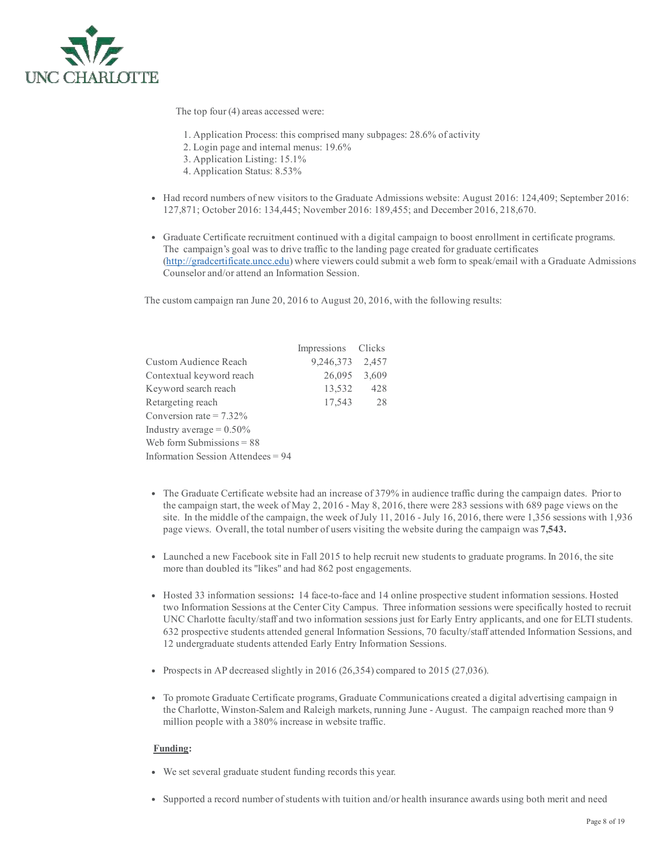

The top four (4) areas accessed were:

- 1. Application Process: this comprised many subpages: 28.6% of activity
- 2. Login page and internal menus: 19.6%
- 3. Application Listing: 15.1%
- 4. Application Status: 8.53%
- Had record numbers of new visitors to the Graduate Admissions website: August 2016: 124,409; September 2016: 127,871; October 2016: 134,445; November 2016: 189,455; and December 2016, 218,670.
- Graduate Certificate recruitment continued with a digital campaign to boost enrollment in certificate programs. The campaign's goal was to drive traffic to the landing page created for graduate certificates ([http://gradcertificate.uncc.edu\)](http://gradcertificate.uncc.edu/) where viewers could submit a web form to speak/email with a Graduate Admissions Counselor and/or attend an Information Session.

The custom campaign ran June 20, 2016 to August 20, 2016, with the following results:

|                                      | Impressions Clicks |       |
|--------------------------------------|--------------------|-------|
| Custom Audience Reach                | 9,246,373          | 2,457 |
| Contextual keyword reach             | 26,095             | 3,609 |
| Keyword search reach                 | 13,532             | 428   |
| Retargeting reach                    | 17,543             | 28    |
| Conversion rate $= 7.32\%$           |                    |       |
| Industry average = $0.50\%$          |                    |       |
| Web form Submissions $= 88$          |                    |       |
| Information Session Attendees = $94$ |                    |       |

- The Graduate Certificate website had an increase of 379% in audience traffic during the campaign dates. Prior to the campaign start, the week of May 2, 2016 - May 8, 2016, there were 283 sessions with 689 page views on the site. In the middle of the campaign, the week of July 11, 2016 - July 16, 2016, there were 1,356 sessions with  $1,936$ page views. Overall, the total number of users visiting the website during the campaign was 7,543.
- Launched a new Facebook site in Fall 2015 to help recruit new students to graduate programs. In 2016, the site more than doubled its "likes" and had 862 post engagements.
- Hosted 33 information sessions: 14 face-to-face and 14 online prospective student information sessions. Hosted two Information Sessions at the Center City Campus. Three information sessions were specifically hosted to recruit UNC Charlotte faculty/staff and two information sessions just for Early Entry applicants, and one for ELTI students. 632 prospective students attended general Information Sessions, 70 faculty/staff attended Information Sessions, and 12 undergraduate students attended Early Entry Information Sessions.
- Prospects in AP decreased slightly in 2016 (26,354) compared to 2015 (27,036).
- To promote Graduate Certificate programs, Graduate Communications created a digital advertising campaign in the Charlotte, Winston-Salem and Raleigh markets, running June - August. The campaign reached more than 9 million people with a 380% increase in website traffic.

## Funding:

- We set several graduate student funding records this year.
- Supported a record number ofstudents with tuition and/or health insurance awards using both merit and need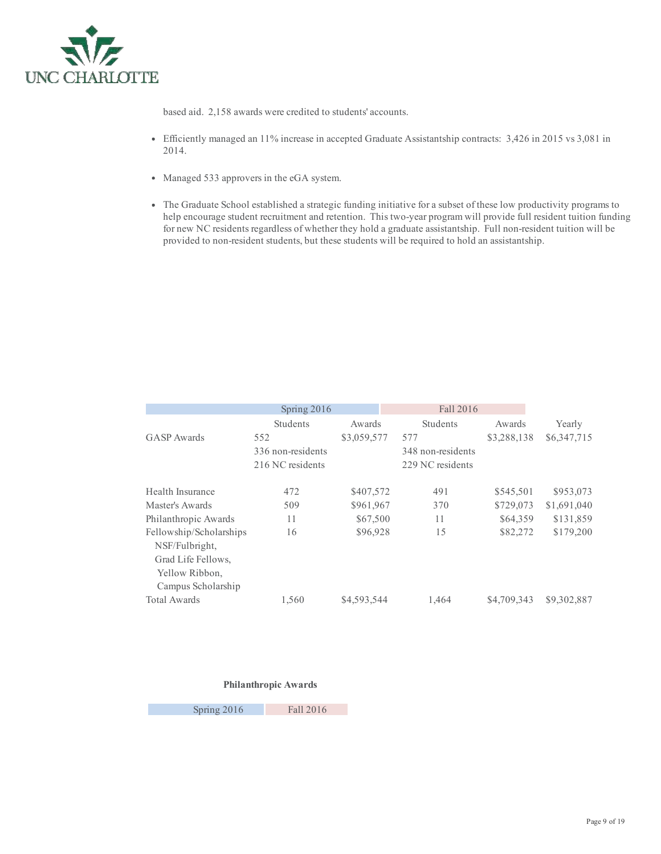

based aid. 2,158 awards were credited to students' accounts.

- Efficiently managed an 11% increase in accepted Graduate Assistantship contracts: 3,426 in 2015 vs 3,081 in 2014.
- Managed 533 approvers in the eGA system.
- The Graduate School established a strategic funding initiative for a subset of these low productivity programs to help encourage student recruitment and retention. This two-year program will provide full resident tuition funding for new NC residents regardless of whether they hold a graduate assistantship. Full non-resident tuition will be provided to non-resident students, but these students will be required to hold an assistantship.

|                                                                                                         | Spring 2016       |             | Fall 2016 |                   |             |             |  |
|---------------------------------------------------------------------------------------------------------|-------------------|-------------|-----------|-------------------|-------------|-------------|--|
|                                                                                                         | Students          | Awards      |           | <b>Students</b>   | Awards      | Yearly      |  |
| GASP Awards                                                                                             | 552               | \$3,059,577 | 577       |                   | \$3,288,138 | \$6,347,715 |  |
|                                                                                                         | 336 non-residents |             |           | 348 non-residents |             |             |  |
|                                                                                                         | 216 NC residents  |             |           | 229 NC residents  |             |             |  |
| Health Insurance                                                                                        | 472               | \$407,572   |           | 491               | \$545,501   | \$953,073   |  |
| Master's Awards                                                                                         | 509               | \$961,967   |           | 370               | \$729,073   | \$1,691,040 |  |
| Philanthropic Awards                                                                                    | 11                | \$67,500    |           | 11                | \$64,359    | \$131,859   |  |
| Fellowship/Scholarships<br>NSF/Fulbright,<br>Grad Life Fellows.<br>Yellow Ribbon,<br>Campus Scholarship | 16                | \$96,928    |           | 15                | \$82,272    | \$179,200   |  |
| <b>Total Awards</b>                                                                                     | 1,560             | \$4,593,544 |           | 1,464             | \$4,709,343 | \$9,302,887 |  |

## Philanthropic Awards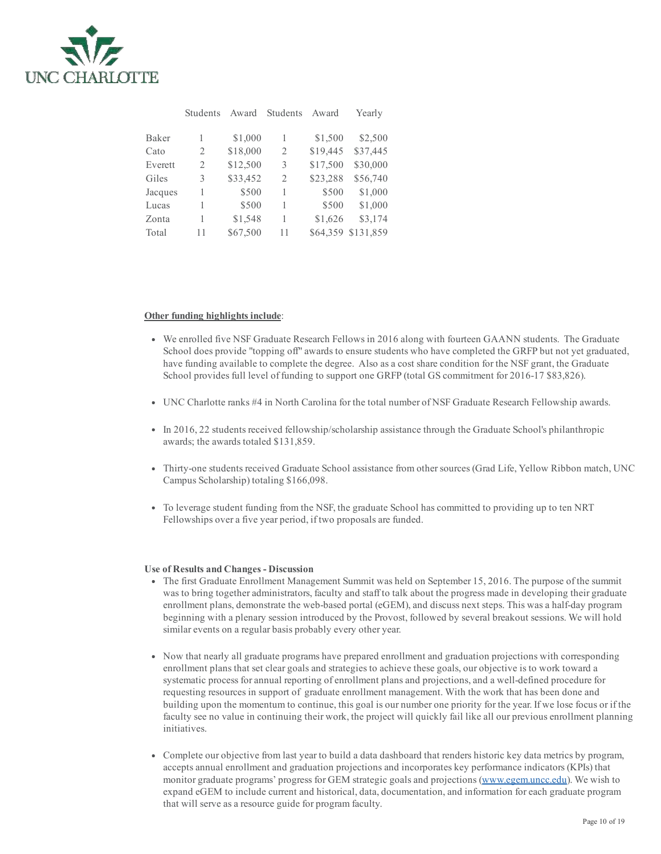

|         | Students | Award    | Students | Award    | Yearly    |
|---------|----------|----------|----------|----------|-----------|
|         |          |          |          |          |           |
| Baker   | 1        | \$1,000  | 1        | \$1,500  | \$2,500   |
| Cato    | 2        | \$18,000 | 2        | \$19,445 | \$37,445  |
| Everett | 2        | \$12,500 | 3        | \$17,500 | \$30,000  |
| Giles   | 3        | \$33,452 | 2        | \$23,288 | \$56,740  |
| Jacques | 1        | \$500    | 1        | \$500    | \$1,000   |
| Lucas   | 1        | \$500    | 1        | \$500    | \$1,000   |
| Zonta   | 1        | \$1,548  | 1        | \$1,626  | \$3,174   |
| Total   | 11       | \$67,500 | 11       | \$64,359 | \$131,859 |

#### Other funding highlights include:

- We enrolled five NSF Graduate Research Fellows in 2016 along with fourteen GAANN students. The Graduate School does provide "topping off" awards to ensure students who have completed the GRFP but not yet graduated, have funding available to complete the degree. Also as a cost share condition for the NSF grant, the Graduate School provides full level of funding to support one GRFP (total GS commitment for 2016-17 \$83,826).
- UNC Charlotte ranks #4 in North Carolina for the total number of NSF Graduate Research Fellowship awards.
- In 2016, 22 students received fellowship/scholarship assistance through the Graduate School's philanthropic awards; the awards totaled \$131,859.
- Thirtyone students received Graduate School assistance from othersources (Grad Life, Yellow Ribbon match, UNC Campus Scholarship) totaling \$166,098.
- To leverage student funding from the NSF, the graduate School has committed to providing up to ten NRT Fellowships over a five year period, if two proposals are funded.

#### Use of Results and Changes - Discussion

- The first Graduate Enrollment Management Summit was held on September 15, 2016. The purpose of the summit was to bring together administrators, faculty and staff to talk about the progress made in developing their graduate enrollment plans, demonstrate the web-based portal (eGEM), and discuss next steps. This was a half-day program beginning with a plenary session introduced by the Provost, followed by several breakout sessions. We will hold similar events on a regular basis probably every other year.
- Now that nearly all graduate programs have prepared enrollment and graduation projections with corresponding enrollment plans that set clear goals and strategies to achieve these goals, our objective is to work toward a systematic process for annual reporting of enrollment plans and projections, and a well-defined procedure for requesting resources in support of graduate enrollment management. With the work that has been done and building upon the momentum to continue, this goal is our number one priority for the year. If we lose focus or if the faculty see no value in continuing their work, the project will quickly fail like all our previous enrollment planning initiatives.
- Complete our objective from last year to build a data dashboard that renders historic key data metrics by program, accepts annual enrollment and graduation projections and incorporates key performance indicators (KPIs) that monitor graduate programs' progress for GEM strategic goals and projections ([www.egem.uncc.edu\)](http://www.egem.uncc.edu/). We wish to expand eGEM to include current and historical, data, documentation, and information for each graduate program that will serve as a resource guide for program faculty.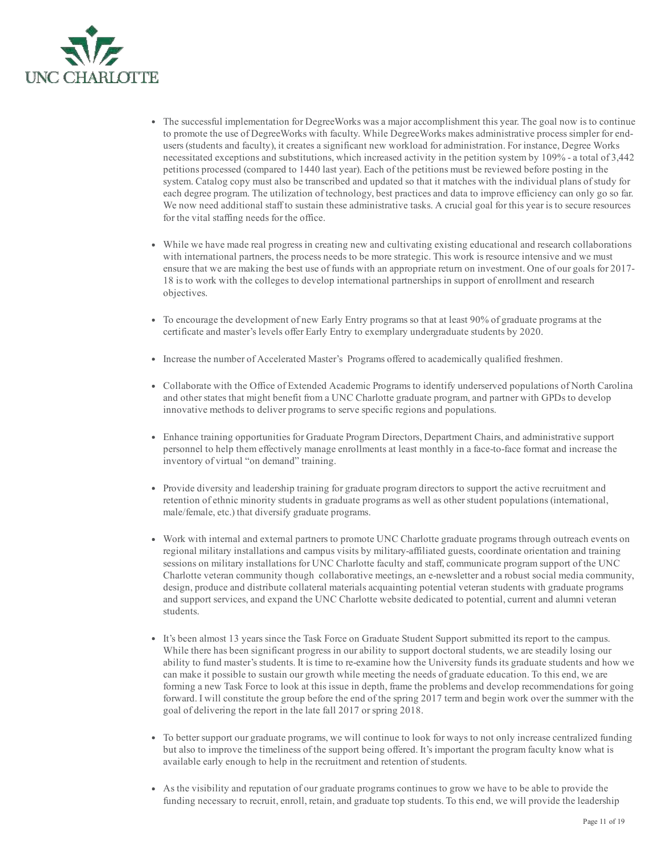

- The successful implementation for DegreeWorks was a major accomplishment this year. The goal now is to continue to promote the use of DegreeWorks with faculty. While DegreeWorks makes administrative process simpler for endusers (students and faculty), it creates a significant new workload for administration. For instance, Degree Works necessitated exceptions and substitutions, which increased activity in the petition system by 109% a total of 3,442 petitions processed (compared to 1440 last year). Each of the petitions must be reviewed before posting in the system. Catalog copy must also be transcribed and updated so that it matches with the individual plans of study for each degree program. The utilization of technology, best practices and data to improve efficiency can only go so far. We now need additional staff to sustain these administrative tasks. A crucial goal for this year is to secure resources for the vital staffing needs for the office.
- While we have made real progress in creating new and cultivating existing educational and research collaborations with international partners, the process needs to be more strategic. This work is resource intensive and we must ensure that we are making the best use of funds with an appropriate return on investment. One of our goals for 2017 18 is to work with the colleges to develop international partnerships in support of enrollment and research objectives.
- To encourage the development of new Early Entry programs so that at least 90% of graduate programs at the certificate and master's levels offer Early Entry to exemplary undergraduate students by 2020.
- Increase the number of Accelerated Master's Programs offered to academically qualified freshmen.
- Collaborate with the Office of Extended Academic Programs to identify underserved populations of North Carolina and other states that might benefit from a UNC Charlotte graduate program, and partner with GPDs to develop innovative methods to deliver programs to serve specific regions and populations.
- Enhance training opportunities for Graduate Program Directors, Department Chairs, and administrative support personnel to help them effectively manage enrollments at least monthly in a face-to-face format and increase the inventory of virtual "on demand" training.
- Provide diversity and leadership training for graduate program directors to support the active recruitment and retention of ethnic minority students in graduate programs as well as otherstudent populations (international, male/female, etc.) that diversify graduate programs.
- Work with internal and external partners to promote UNC Charlotte graduate programs through outreach events on regional military installations and campus visits by military-affiliated guests, coordinate orientation and training sessions on military installations for UNC Charlotte faculty and staff, communicate program support of the UNC Charlotte veteran community though collaborative meetings, an enewsletter and a robust social media community, design, produce and distribute collateral materials acquainting potential veteran students with graduate programs and support services, and expand the UNC Charlotte website dedicated to potential, current and alumni veteran students.
- It's been almost 13 years since the Task Force on Graduate Student Support submitted its report to the campus. While there has been significant progress in our ability to support doctoral students, we are steadily losing our ability to fund master's students. It is time to re-examine how the University funds its graduate students and how we can make it possible to sustain our growth while meeting the needs of graduate education. To this end, we are forming a new Task Force to look at this issue in depth, frame the problems and develop recommendations for going forward. I will constitute the group before the end of the spring 2017 term and begin work over the summer with the goal of delivering the report in the late fall 2017 orspring 2018.
- To bettersupport our graduate programs, we will continue to look for ways to not only increase centralized funding but also to improve the timeliness of the support being offered. It's important the program faculty know what is available early enough to help in the recruitment and retention of students.
- As the visibility and reputation of our graduate programs continues to grow we have to be able to provide the funding necessary to recruit, enroll, retain, and graduate top students. To this end, we will provide the leadership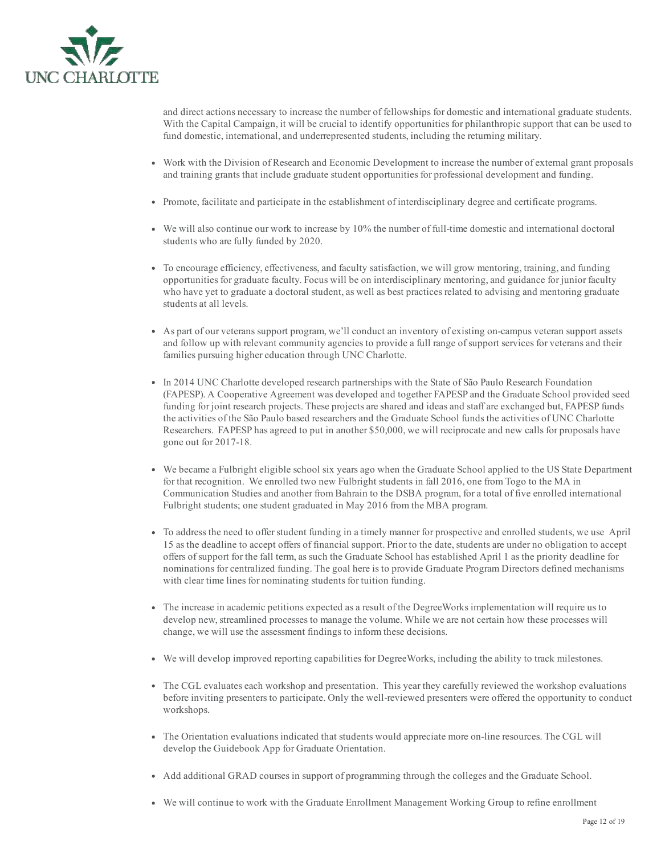

and direct actions necessary to increase the number of fellowships for domestic and international graduate students. With the Capital Campaign, it will be crucial to identify opportunities for philanthropic support that can be used to fund domestic, international, and underrepresented students, including the returning military.

- Work with the Division of Research and Economic Development to increase the number of external grant proposals and training grants that include graduate student opportunities for professional development and funding.
- Promote, facilitate and participate in the establishment of interdisciplinary degree and certificate programs.
- $\bullet$  We will also continue our work to increase by 10% the number of full-time domestic and international doctoral students who are fully funded by 2020.
- To encourage efficiency, effectiveness, and faculty satisfaction, we will grow mentoring, training, and funding opportunities for graduate faculty. Focus will be on interdisciplinary mentoring, and guidance for junior faculty who have yet to graduate a doctoral student, as well as best practices related to advising and mentoring graduate students at all levels.
- As part of our veterans support program, we'll conduct an inventory of existing oncampus veteran support assets and follow up with relevant community agencies to provide a full range of support services for veterans and their families pursuing higher education through UNC Charlotte.
- In 2014 UNC Charlotte developed research partnerships with the State of São Paulo Research Foundation (FAPESP). A Cooperative Agreement was developed and together FAPESP and the Graduate School provided seed funding for joint research projects. These projects are shared and ideas and staff are exchanged but, FAPESP funds the activities of the São Paulo based researchers and the Graduate School funds the activities of UNC Charlotte Researchers. FAPESP has agreed to put in another \$50,000, we will reciprocate and new calls for proposals have gone out for  $2017-18$ .
- We became a Fulbright eligible school six years ago when the Graduate School applied to the US State Department for that recognition. We enrolled two new Fulbright students in fall 2016, one from Togo to the MA in Communication Studies and another from Bahrain to the DSBA program, for a total of five enrolled international Fulbright students; one student graduated in May 2016 from the MBA program.
- To address the need to offerstudent funding in a timely manner for prospective and enrolled students, we use April 15 as the deadline to accept offers of financial support. Prior to the date, students are under no obligation to accept offers ofsupport for the fall term, as such the Graduate School has established April 1 as the priority deadline for nominations for centralized funding. The goal here is to provide Graduate Program Directors defined mechanisms with clear time lines for nominating students for tuition funding.
- The increase in academic petitions expected as a result of the DegreeWorks implementation will require us to develop new, streamlined processes to manage the volume. While we are not certain how these processes will change, we will use the assessment findings to inform these decisions.
- We will develop improved reporting capabilities for DegreeWorks, including the ability to track milestones.
- The CGL evaluates each workshop and presentation. This year they carefully reviewed the workshop evaluations before inviting presenters to participate. Only the well-reviewed presenters were offered the opportunity to conduct workshops.
- The Orientation evaluations indicated that students would appreciate more on-line resources. The CGL will develop the Guidebook App for Graduate Orientation.
- Add additional GRAD courses in support of programming through the colleges and the Graduate School.
- We will continue to work with the Graduate Enrollment Management Working Group to refine enrollment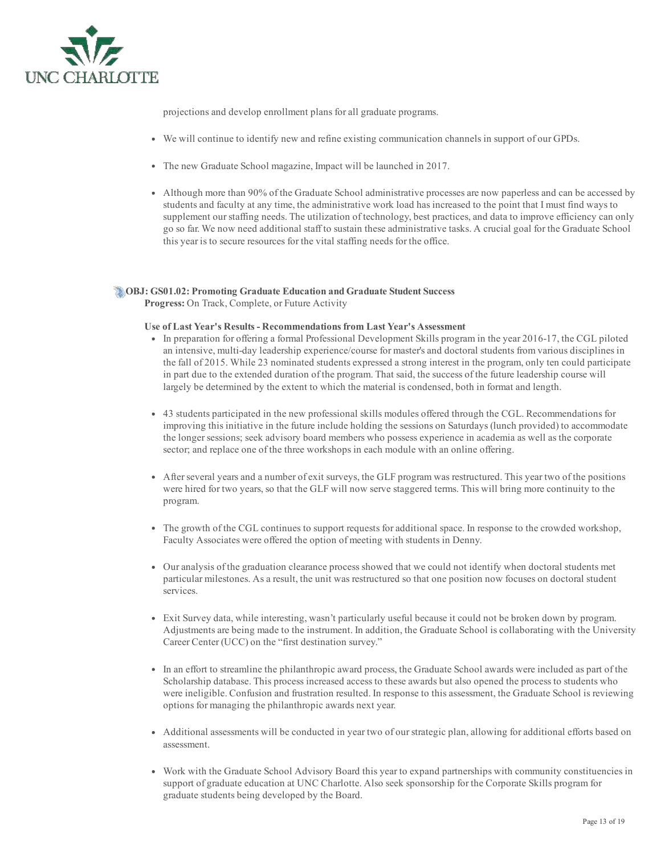

projections and develop enrollment plans for all graduate programs.

- We will continue to identify new and refine existing communication channels in support of our GPDs.
- The new Graduate School magazine, Impact will be launched in 2017.
- Although more than 90% of the Graduate School administrative processes are now paperless and can be accessed by students and faculty at any time, the administrative work load has increased to the point that I must find ways to supplement our staffing needs. The utilization of technology, best practices, and data to improve efficiency can only go so far. We now need additional staff to sustain these administrative tasks. A crucial goal for the Graduate School this year is to secure resources for the vital staffing needs for the office.

# OBJ: GS01.02: Promoting Graduate Education and Graduate Student Success

Progress: On Track, Complete, or Future Activity

## Use of Last Year's Results Recommendations from Last Year's Assessment

- In preparation for offering a formal Professional Development Skills program in the year 2016-17, the CGL piloted an intensive, multi-day leadership experience/course for master's and doctoral students from various disciplines in the fall of 2015. While 23 nominated students expressed a strong interest in the program, only ten could participate in part due to the extended duration of the program. That said, the success of the future leadership course will largely be determined by the extent to which the material is condensed, both in format and length.
- 43 students participated in the new professional skills modules offered through the CGL. Recommendations for improving this initiative in the future include holding the sessions on Saturdays (lunch provided) to accommodate the longer sessions; seek advisory board members who possess experience in academia as well as the corporate sector; and replace one of the three workshops in each module with an online offering.
- Afterseveral years and a number of exit surveys, the GLF program was restructured. This year two of the positions were hired for two years, so that the GLF will now serve staggered terms. This will bring more continuity to the program.
- The growth of the CGL continues to support requests for additional space. In response to the crowded workshop, Faculty Associates were offered the option of meeting with students in Denny.
- Our analysis of the graduation clearance process showed that we could not identify when doctoral students met particular milestones. As a result, the unit was restructured so that one position now focuses on doctoral student services.
- Exit Survey data, while interesting, wasn't particularly useful because it could not be broken down by program. Adjustments are being made to the instrument. In addition, the Graduate School is collaborating with the University Career Center (UCC) on the "first destination survey."
- In an effort to streamline the philanthropic award process, the Graduate School awards were included as part of the Scholarship database. This process increased access to these awards but also opened the process to students who were ineligible. Confusion and frustration resulted. In response to this assessment, the Graduate School is reviewing options for managing the philanthropic awards next year.
- Additional assessments will be conducted in year two of ourstrategic plan, allowing for additional efforts based on assessment.
- Work with the Graduate School Advisory Board this year to expand partnerships with community constituencies in support of graduate education at UNC Charlotte. Also seek sponsorship for the Corporate Skills program for graduate students being developed by the Board.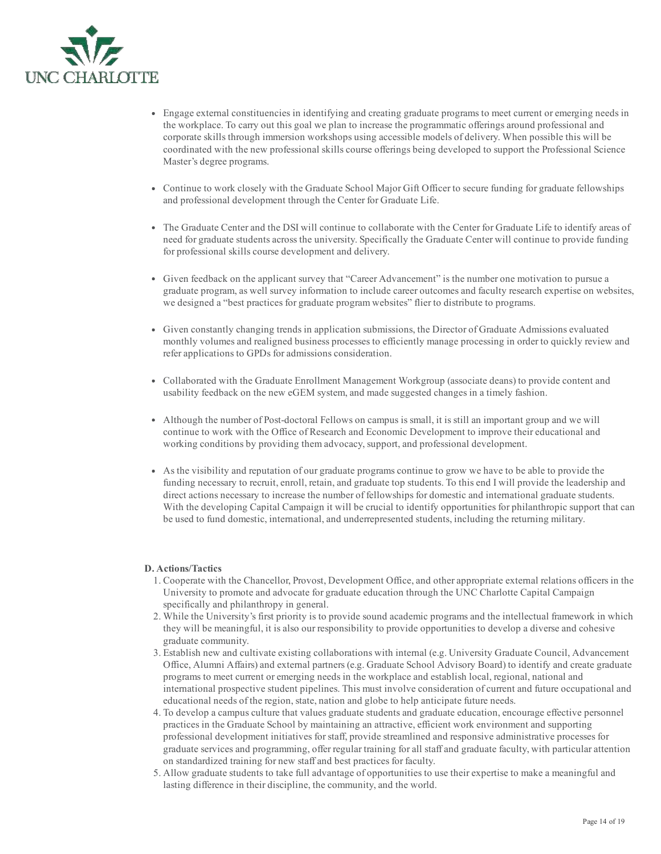

- Engage external constituencies in identifying and creating graduate programs to meet current or emerging needs in the workplace. To carry out this goal we plan to increase the programmatic offerings around professional and corporate skills through immersion workshops using accessible models of delivery. When possible this will be coordinated with the new professional skills course offerings being developed to support the Professional Science Master's degree programs.
- Continue to work closely with the Graduate School Major Gift Officer to secure funding for graduate fellowships and professional development through the Center for Graduate Life.
- The Graduate Center and the DSI will continue to collaborate with the Center for Graduate Life to identify areas of need for graduate students across the university. Specifically the Graduate Center will continue to provide funding for professional skills course development and delivery.
- Given feedback on the applicant survey that "Career Advancement" is the number one motivation to pursue a graduate program, as well survey information to include career outcomes and faculty research expertise on websites, we designed a "best practices for graduate program websites" flier to distribute to programs.
- Given constantly changing trends in application submissions, the Director of Graduate Admissions evaluated monthly volumes and realigned business processes to efficiently manage processing in order to quickly review and refer applications to GPDs for admissions consideration.
- Collaborated with the Graduate Enrollment Management Workgroup (associate deans) to provide content and usability feedback on the new eGEM system, and made suggested changes in a timely fashion.
- Although the number of Post-doctoral Fellows on campus is small, it is still an important group and we will continue to work with the Office of Research and Economic Development to improve their educational and working conditions by providing them advocacy, support, and professional development.
- As the visibility and reputation of our graduate programs continue to grow we have to be able to provide the funding necessary to recruit, enroll, retain, and graduate top students. To this end I will provide the leadership and direct actions necessary to increase the number of fellowships for domestic and international graduate students. With the developing Capital Campaign it will be crucial to identify opportunities for philanthropic support that can be used to fund domestic, international, and underrepresented students, including the returning military.

## D. Actions/Tactics

- 1. Cooperate with the Chancellor, Provost, Development Office, and other appropriate external relations officers in the University to promote and advocate for graduate education through the UNC Charlotte Capital Campaign specifically and philanthropy in general.
- 2. While the University's first priority is to provide sound academic programs and the intellectual framework in which they will be meaningful, it is also our responsibility to provide opportunities to develop a diverse and cohesive graduate community.
- 3. Establish new and cultivate existing collaborations with internal (e.g. University Graduate Council, Advancement Office, Alumni Affairs) and external partners (e.g. Graduate School Advisory Board) to identify and create graduate programs to meet current or emerging needs in the workplace and establish local, regional, national and international prospective student pipelines. This must involve consideration of current and future occupational and educational needs of the region, state, nation and globe to help anticipate future needs.
- 4. To develop a campus culture that values graduate students and graduate education, encourage effective personnel practices in the Graduate School by maintaining an attractive, efficient work environment and supporting professional development initiatives forstaff, provide streamlined and responsive administrative processes for graduate services and programming, offer regular training for all staff and graduate faculty, with particular attention on standardized training for new staff and best practices for faculty.
- 5. Allow graduate students to take full advantage of opportunities to use their expertise to make a meaningful and lasting difference in their discipline, the community, and the world.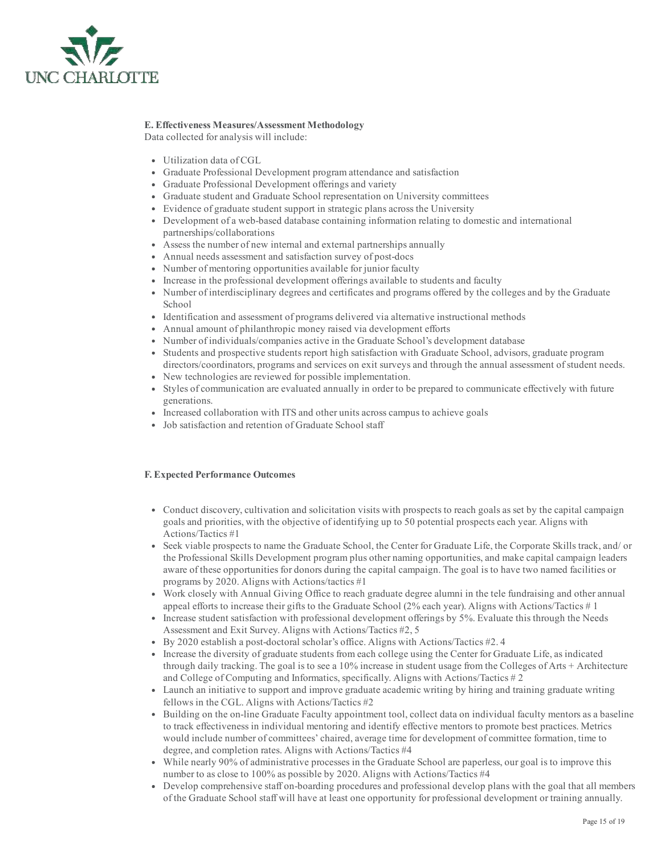

# E. Effectiveness Measures/Assessment Methodology

Data collected for analysis will include:

- Utilization data of CGL
- Graduate Professional Development program attendance and satisfaction
- Graduate Professional Development offerings and variety
- Graduate student and Graduate School representation on University committees
- Evidence of graduate student support in strategic plans across the University
- Development of a web-based database containing information relating to domestic and international partnerships/collaborations
- Assess the number of new internal and external partnerships annually
- Annual needs assessment and satisfaction survey of post-docs
- Number of mentoring opportunities available for junior faculty
- Increase in the professional development offerings available to students and faculty
- Number of interdisciplinary degrees and certificates and programs offered by the colleges and by the Graduate School
- Identification and assessment of programs delivered via alternative instructional methods
- Annual amount of philanthropic money raised via development efforts
- Number of individuals/companies active in the Graduate School's development database
- Students and prospective students report high satisfaction with Graduate School, advisors, graduate program directors/coordinators, programs and services on exit surveys and through the annual assessment of student needs.
- New technologies are reviewed for possible implementation.
- Styles of communication are evaluated annually in order to be prepared to communicate effectively with future generations.
- Increased collaboration with ITS and other units across campus to achieve goals
- Job satisfaction and retention of Graduate School staff

# F. Expected Performance Outcomes

- Conduct discovery, cultivation and solicitation visits with prospects to reach goals as set by the capital campaign goals and priorities, with the objective of identifying up to 50 potential prospects each year. Aligns with Actions/Tactics #1
- Seek viable prospects to name the Graduate School, the Center for Graduate Life, the Corporate Skills track, and/ or the Professional Skills Development program plus other naming opportunities, and make capital campaign leaders aware of these opportunities for donors during the capital campaign. The goal is to have two named facilities or programs by 2020. Aligns with Actions/tactics #1
- Work closely with Annual Giving Office to reach graduate degree alumni in the tele fundraising and other annual appeal efforts to increase their gifts to the Graduate School (2% each year). Aligns with Actions/Tactics # 1
- Increase student satisfaction with professional development offerings by 5%. Evaluate this through the Needs Assessment and Exit Survey. Aligns with Actions/Tactics #2, 5
- By 2020 establish a post-doctoral scholar's office. Aligns with Actions/Tactics #2.4
- Increase the diversity of graduate students from each college using the Center for Graduate Life, as indicated through daily tracking. The goal is to see a 10% increase in student usage from the Colleges of Arts + Architecture and College of Computing and Informatics, specifically. Aligns with Actions/Tactics # 2
- Launch an initiative to support and improve graduate academic writing by hiring and training graduate writing fellows in the CGL. Aligns with Actions/Tactics #2
- Building on the online Graduate Faculty appointment tool, collect data on individual faculty mentors as a baseline to track effectiveness in individual mentoring and identify effective mentors to promote best practices. Metrics would include number of committees' chaired, average time for development of committee formation, time to degree, and completion rates. Aligns with Actions/Tactics #4
- While nearly 90% of administrative processes in the Graduate School are paperless, our goal is to improve this number to as close to 100% as possible by 2020. Aligns with Actions/Tactics #4
- Develop comprehensive staff on-boarding procedures and professional develop plans with the goal that all members of the Graduate School staff will have at least one opportunity for professional development or training annually.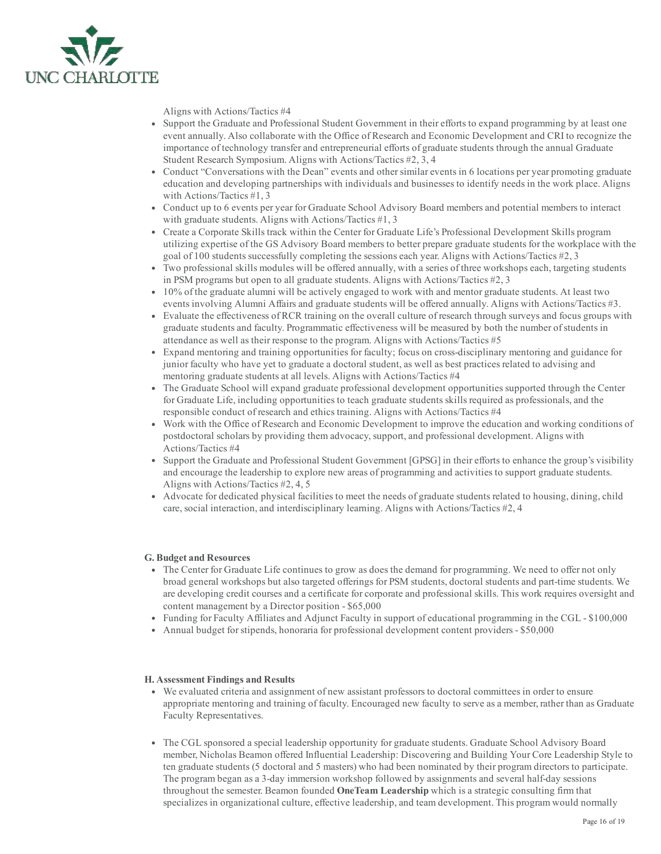

Aligns with Actions/Tactics #4

- Support the Graduate and Professional Student Government in their efforts to expand programming by at least one event annually. Also collaborate with the Office of Research and Economic Development and CRI to recognize the importance of technology transfer and entrepreneurial efforts of graduate students through the annual Graduate Student Research Symposium. Aligns with Actions/Tactics #2, 3, 4
- Conduct "Conversations with the Dean" events and other similar events in 6 locations per year promoting graduate education and developing partnerships with individuals and businesses to identify needs in the work place. Aligns with Actions/Tactics #1, 3
- Conduct up to 6 events per year for Graduate School Advisory Board members and potential members to interact with graduate students. Aligns with Actions/Tactics #1, 3
- Create a Corporate Skills track within the Center for Graduate Life's Professional Development Skills program utilizing expertise of the GS Advisory Board members to better prepare graduate students for the workplace with the goal of 100 students successfully completing the sessions each year. Aligns with Actions/Tactics #2, 3
- Two professional skills modules will be offered annually, with a series of three workshops each, targeting students in PSM programs but open to all graduate students. Aligns with Actions/Tactics #2, 3
- 10% of the graduate alumni will be actively engaged to work with and mentor graduate students. At least two events involving Alumni Affairs and graduate students will be offered annually. Aligns with Actions/Tactics #3.
- Evaluate the effectiveness of RCR training on the overall culture of research through surveys and focus groups with graduate students and faculty. Programmatic effectiveness will be measured by both the number ofstudents in attendance as well as their response to the program. Aligns with Actions/Tactics #5
- Expand mentoring and training opportunities for faculty; focus on cross-disciplinary mentoring and guidance for junior faculty who have yet to graduate a doctoral student, as well as best practices related to advising and mentoring graduate students at all levels. Aligns with Actions/Tactics #4
- The Graduate School will expand graduate professional development opportunities supported through the Center for Graduate Life, including opportunities to teach graduate students skills required as professionals, and the responsible conduct of research and ethics training. Aligns with Actions/Tactics #4
- Work with the Office of Research and Economic Development to improve the education and working conditions of postdoctoral scholars by providing them advocacy, support, and professional development. Aligns with Actions/Tactics #4
- Support the Graduate and Professional Student Government [GPSG] in their efforts to enhance the group's visibility and encourage the leadership to explore new areas of programming and activities to support graduate students. Aligns with Actions/Tactics #2, 4, 5
- Advocate for dedicated physical facilities to meet the needs of graduate students related to housing, dining, child care, social interaction, and interdisciplinary learning. Aligns with Actions/Tactics #2, 4

## G. Budget and Resources

- The Center for Graduate Life continues to grow as does the demand for programming. We need to offer not only broad general workshops but also targeted offerings for PSM students, doctoral students and parttime students. We are developing credit courses and a certificate for corporate and professional skills. This work requires oversight and content management by a Director position  $-$  \$65,000
- Funding for Faculty Affiliates and Adjunct Faculty in support of educational programming in the CGL \$100,000
- Annual budget for stipends, honoraria for professional development content providers \$50,000

## H. Assessment Findings and Results

- We evaluated criteria and assignment of new assistant professors to doctoral committees in order to ensure appropriate mentoring and training of faculty. Encouraged new faculty to serve as a member, rather than as Graduate Faculty Representatives.
- The CGL sponsored a special leadership opportunity for graduate students. Graduate School Advisory Board member, Nicholas Beamon offered Influential Leadership: Discovering and Building Your Core Leadership Style to ten graduate students (5 doctoral and 5 masters) who had been nominated by their program directors to participate. The program began as a 3-day immersion workshop followed by assignments and several half-day sessions throughout the semester. Beamon founded **OneTeam Leadership** which is a strategic consulting firm that specializes in organizational culture, effective leadership, and team development. This program would normally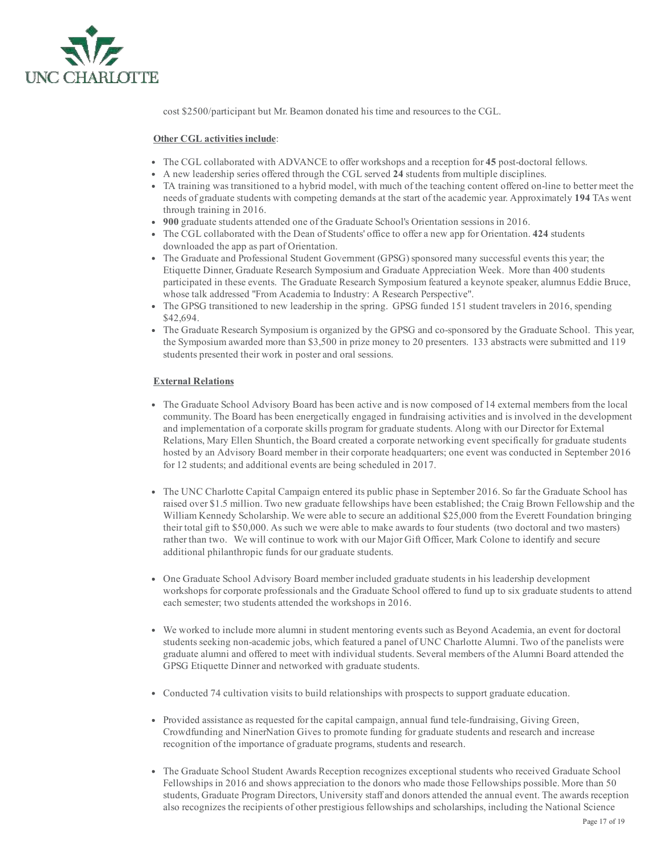

cost \$2500/participant but Mr. Beamon donated his time and resources to the CGL.

## Other CGL activities include:

- The CGL collaborated with ADVANCE to offer workshops and a reception for 45 post-doctoral fellows.
- A new leadership series offered through the CGL served 24 students from multiple disciplines.
- TA training was transitioned to a hybrid model, with much of the teaching content offered online to better meet the needs of graduate students with competing demands at the start of the academic year. Approximately 194 TAs went through training in 2016.
- 900 graduate students attended one of the Graduate School's Orientation sessions in 2016.
- The CGL collaborated with the Dean of Students' office to offer a new app for Orientation. 424 students downloaded the app as part of Orientation.
- The Graduate and Professional Student Government (GPSG) sponsored many successful events this year; the Etiquette Dinner, Graduate Research Symposium and Graduate Appreciation Week. More than 400 students participated in these events. The Graduate Research Symposium featured a keynote speaker, alumnus Eddie Bruce, whose talk addressed "From Academia to Industry: A Research Perspective".
- The GPSG transitioned to new leadership in the spring. GPSG funded 151 student travelers in 2016, spending \$42,694.
- The Graduate Research Symposium is organized by the GPSG and co-sponsored by the Graduate School. This year, the Symposium awarded more than \$3,500 in prize money to 20 presenters. 133 abstracts were submitted and 119 students presented their work in poster and oral sessions.

## External Relations

- The Graduate School Advisory Board has been active and is now composed of 14 external members from the local community. The Board has been energetically engaged in fundraising activities and is involved in the development and implementation of a corporate skills program for graduate students. Along with our Director for External Relations, Mary Ellen Shuntich, the Board created a corporate networking event specifically for graduate students hosted by an Advisory Board member in their corporate headquarters; one event was conducted in September 2016 for 12 students; and additional events are being scheduled in 2017.
- The UNC Charlotte Capital Campaign entered its public phase in September 2016. So far the Graduate School has raised over \$1.5 million. Two new graduate fellowships have been established; the Craig Brown Fellowship and the William Kennedy Scholarship. We were able to secure an additional \$25,000 from the Everett Foundation bringing their total gift to \$50,000. As such we were able to make awards to fourstudents (two doctoral and two masters) rather than two. We will continue to work with our Major Gift Officer, Mark Colone to identify and secure additional philanthropic funds for our graduate students.
- One Graduate School Advisory Board member included graduate students in his leadership development workshops for corporate professionals and the Graduate School offered to fund up to six graduate students to attend each semester; two students attended the workshops in 2016.
- We worked to include more alumni in student mentoring events such as Beyond Academia, an event for doctoral students seeking non-academic jobs, which featured a panel of UNC Charlotte Alumni. Two of the panelists were graduate alumni and offered to meet with individual students. Several members of the Alumni Board attended the GPSG Etiquette Dinner and networked with graduate students.
- Conducted 74 cultivation visits to build relationships with prospects to support graduate education.
- Provided assistance as requested for the capital campaign, annual fund tele-fundraising, Giving Green, Crowdfunding and NinerNation Gives to promote funding for graduate students and research and increase recognition of the importance of graduate programs, students and research.
- The Graduate School Student Awards Reception recognizes exceptional students who received Graduate School Fellowships in 2016 and shows appreciation to the donors who made those Fellowships possible. More than 50 students, Graduate Program Directors, University staff and donors attended the annual event. The awards reception also recognizes the recipients of other prestigious fellowships and scholarships, including the National Science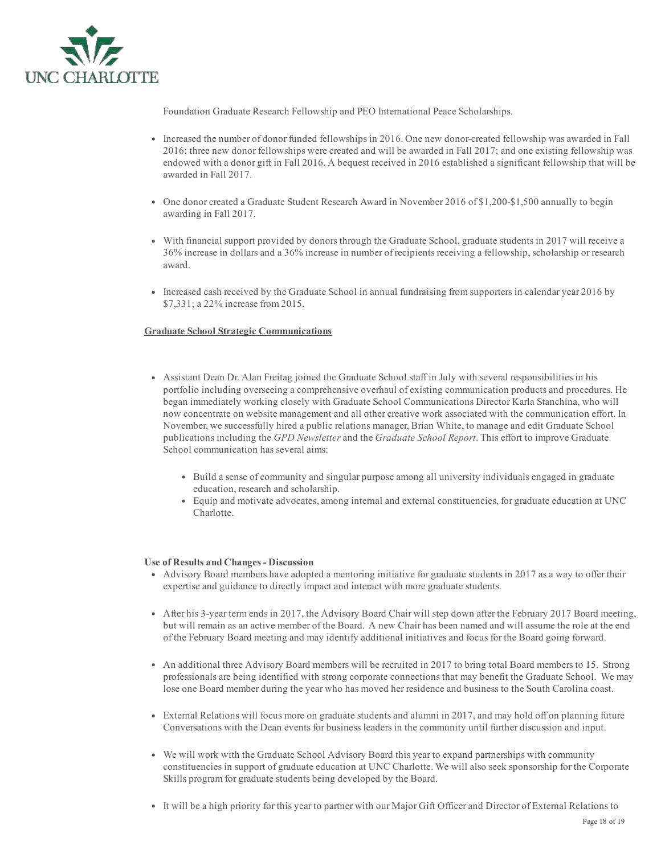

Foundation Graduate Research Fellowship and PEO International Peace Scholarships.

- Increased the number of donor funded fellowships in 2016. One new donorcreated fellowship was awarded in Fall 2016; three new donor fellowships were created and will be awarded in Fall 2017; and one existing fellowship was endowed with a donor gift in Fall 2016. A bequest received in 2016 established a significant fellowship that will be awarded in Fall 2017.
- One donor created a Graduate Student Research Award in November 2016 of \$1,200-\$1,500 annually to begin awarding in Fall 2017.
- With financial support provided by donors through the Graduate School, graduate students in 2017 will receive a 36% increase in dollars and a 36% increase in number of recipients receiving a fellowship, scholarship or research award.
- Increased cash received by the Graduate School in annual fundraising from supporters in calendar year 2016 by \$7,331; a 22% increase from 2015.

## Graduate School Strategic Communications

- Assistant Dean Dr. Alan Freitag joined the Graduate School staff in July with several responsibilities in his portfolio including overseeing a comprehensive overhaul of existing communication products and procedures. He began immediately working closely with Graduate School Communications Director Karla Stanchina, who will now concentrate on website management and all other creative work associated with the communication effort. In November, we successfully hired a public relations manager, Brian White, to manage and edit Graduate School publications including the GPD Newsletter and the Graduate School Report. This effort to improve Graduate School communication has several aims:
	- Build a sense of community and singular purpose among all university individuals engaged in graduate education, research and scholarship.
	- Equip and motivate advocates, among internal and external constituencies, for graduate education at UNC Charlotte.

#### Use of Results and Changes - Discussion

- Advisory Board members have adopted a mentoring initiative for graduate students in 2017 as a way to offer their expertise and guidance to directly impact and interact with more graduate students.
- After his 3year term ends in 2017, the Advisory Board Chair will step down after the February 2017 Board meeting, but will remain as an active member of the Board. A new Chair has been named and will assume the role at the end of the February Board meeting and may identify additional initiatives and focus for the Board going forward.
- An additional three Advisory Board members will be recruited in 2017 to bring total Board members to 15. Strong professionals are being identified with strong corporate connections that may benefit the Graduate School. We may lose one Board member during the year who has moved her residence and business to the South Carolina coast.
- External Relations will focus more on graduate students and alumni in 2017, and may hold off on planning future Conversations with the Dean events for business leaders in the community until further discussion and input.
- We will work with the Graduate School Advisory Board this year to expand partnerships with community constituencies in support of graduate education at UNC Charlotte. We will also seek sponsorship for the Corporate Skills program for graduate students being developed by the Board.
- It will be a high priority for this year to partner with our Major Gift Officer and Director of External Relations to